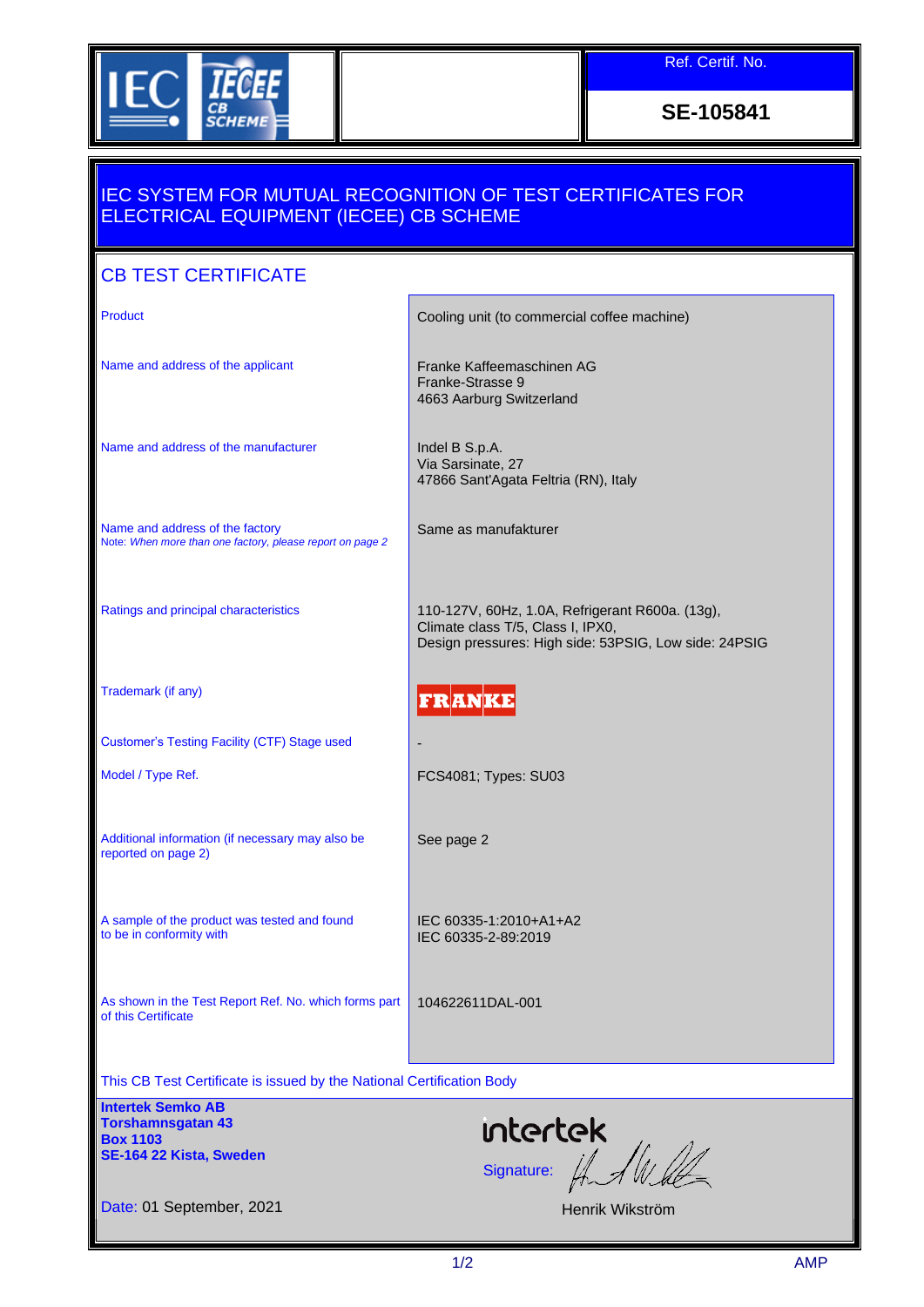

Ref. Certif. No.

**SE-105841**

## IEC SYSTEM FOR MUTUAL RECOGNITION OF TEST CERTIFICATES FOR ELECTRICAL EQUIPMENT (IECEE) CB SCHEME

## CB TEST CERTIFICATE Product **Cooling unit (to commercial coffee machine)** Cooling unit (to commercial coffee machine) Name and address of the applicant Franke Kaffeemaschinen AG Franke-Strasse 9 4663 Aarburg Switzerland Name and address of the manufacturer **Indel B S.p.A.** Via Sarsinate, 27 47866 Sant'Agata Feltria (RN), Italy Name and address of the factory Same as manufakturer Note: *When more than one factory, please report on page 2* Ratings and principal characteristics **110-127V, 60Hz, 1.0A, Refrigerant R600a.** (13g), Climate class T/5, Class I, IPX0, Design pressures: High side: 53PSIG, Low side: 24PSIG Trademark (if any) **FRANKE** Customer's Testing Facility (CTF) Stage used - Model / Type Ref. Types: SU03 Additional information (if necessary may also be See page 2 reported on page 2) A sample of the product was tested and found IEC 60335-1:2010+A1+A2 to be in conformity with IEC 60335-2-89:2019 As shown in the Test Report Ref. No. which forms part 104622611DAL-001 of this Certificate This CB Test Certificate is issued by the National Certification Body **Intertek Semko AB** intertek **Torshamnsgatan 43 Box 1103**  $S$ ignature:  $\iint_{\mathbb{R}} \int \psi \, d\phi$ **SE-164 22 Kista, Sweden** Date: 01 September, 2021 Henrik Wikström